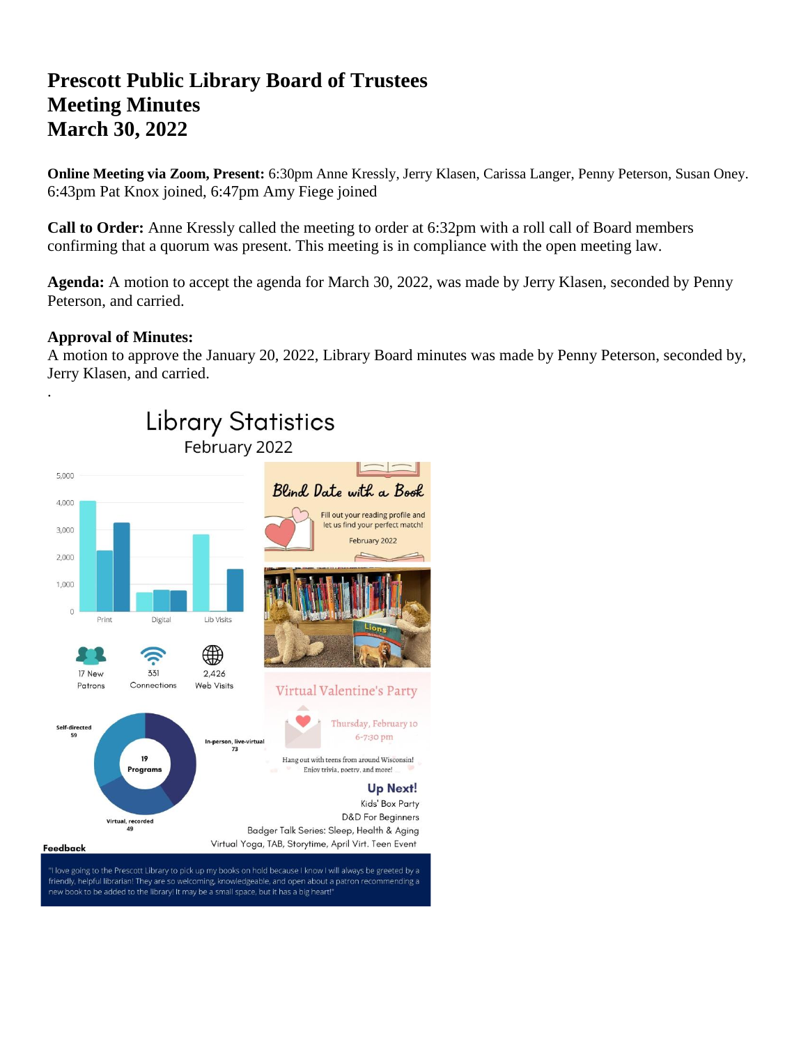# **Prescott Public Library Board of Trustees Meeting Minutes March 30, 2022**

**Online Meeting via Zoom, Present:** 6:30pm Anne Kressly, Jerry Klasen, Carissa Langer, Penny Peterson, Susan Oney. 6:43pm Pat Knox joined, 6:47pm Amy Fiege joined

**Call to Order:** Anne Kressly called the meeting to order at 6:32pm with a roll call of Board members confirming that a quorum was present. This meeting is in compliance with the open meeting law.

**Agenda:** A motion to accept the agenda for March 30, 2022, was made by Jerry Klasen, seconded by Penny Peterson, and carried.

# **Approval of Minutes:**

A motion to approve the January 20, 2022, Library Board minutes was made by Penny Peterson, seconded by, Jerry Klasen, and carried.

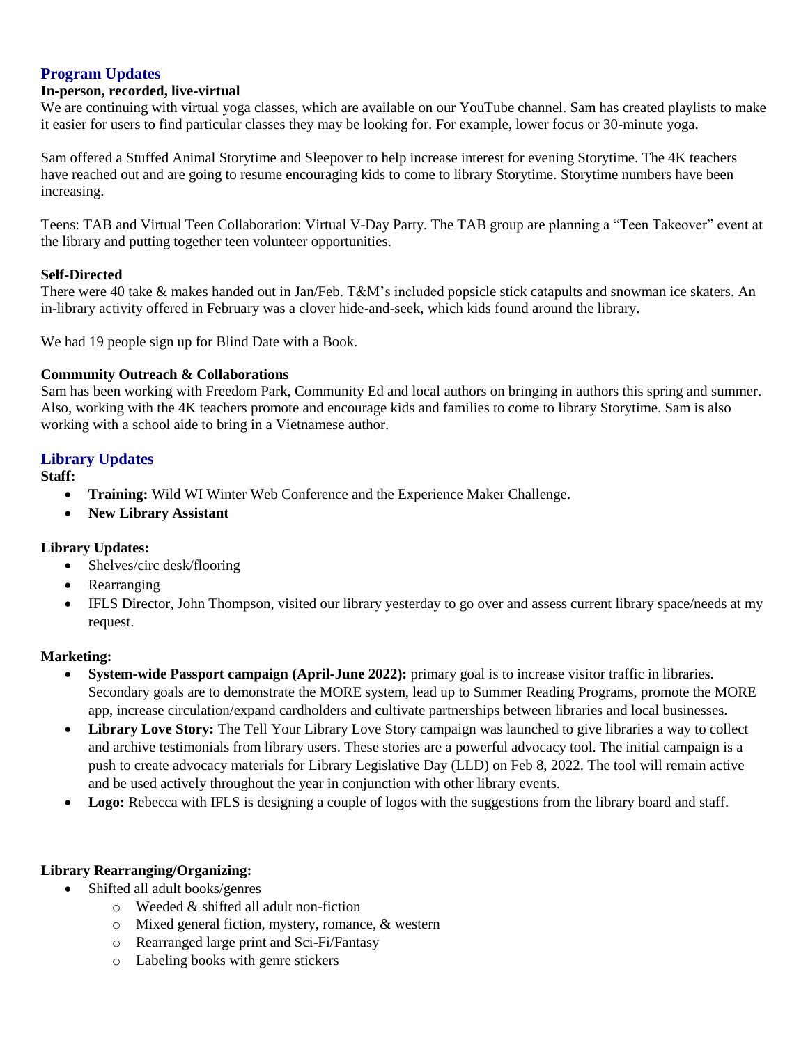# **Program Updates**

#### **In-person, recorded, live-virtual**

We are continuing with virtual yoga classes, which are available on our YouTube channel. Sam has created playlists to make it easier for users to find particular classes they may be looking for. For example, lower focus or 30-minute yoga.

Sam offered a Stuffed Animal Storytime and Sleepover to help increase interest for evening Storytime. The 4K teachers have reached out and are going to resume encouraging kids to come to library Storytime. Storytime numbers have been increasing.

Teens: TAB and Virtual Teen Collaboration: Virtual V-Day Party. The TAB group are planning a "Teen Takeover" event at the library and putting together teen volunteer opportunities.

#### **Self-Directed**

There were 40 take & makes handed out in Jan/Feb. T&M's included popsicle stick catapults and snowman ice skaters. An in-library activity offered in February was a clover hide-and-seek, which kids found around the library.

We had 19 people sign up for Blind Date with a Book.

#### **Community Outreach & Collaborations**

Sam has been working with Freedom Park, Community Ed and local authors on bringing in authors this spring and summer. Also, working with the 4K teachers promote and encourage kids and families to come to library Storytime. Sam is also working with a school aide to bring in a Vietnamese author.

# **Library Updates**

**Staff:** 

- **Training:** Wild WI Winter Web Conference and the Experience Maker Challenge.
- **New Library Assistant**

# **Library Updates:**

- Shelves/circ desk/flooring
- Rearranging
- IFLS Director, John Thompson, visited our library yesterday to go over and assess current library space/needs at my request.

#### **Marketing:**

- **System-wide Passport campaign (April-June 2022):** primary goal is to increase visitor traffic in libraries. Secondary goals are to demonstrate the MORE system, lead up to Summer Reading Programs, promote the MORE app, increase circulation/expand cardholders and cultivate partnerships between libraries and local businesses.
- **Library Love Story:** The Tell Your Library Love Story campaign was launched to give libraries a way to collect and archive testimonials from library users. These stories are a powerful advocacy tool. The initial campaign is a push to create advocacy materials for Library Legislative Day (LLD) on Feb 8, 2022. The tool will remain active and be used actively throughout the year in conjunction with other library events.
- **Logo:** Rebecca with IFLS is designing a couple of logos with the suggestions from the library board and staff.

# **Library Rearranging/Organizing:**

- Shifted all adult books/genres
	- o Weeded & shifted all adult non-fiction
	- o Mixed general fiction, mystery, romance, & western
	- o Rearranged large print and Sci-Fi/Fantasy
	- o Labeling books with genre stickers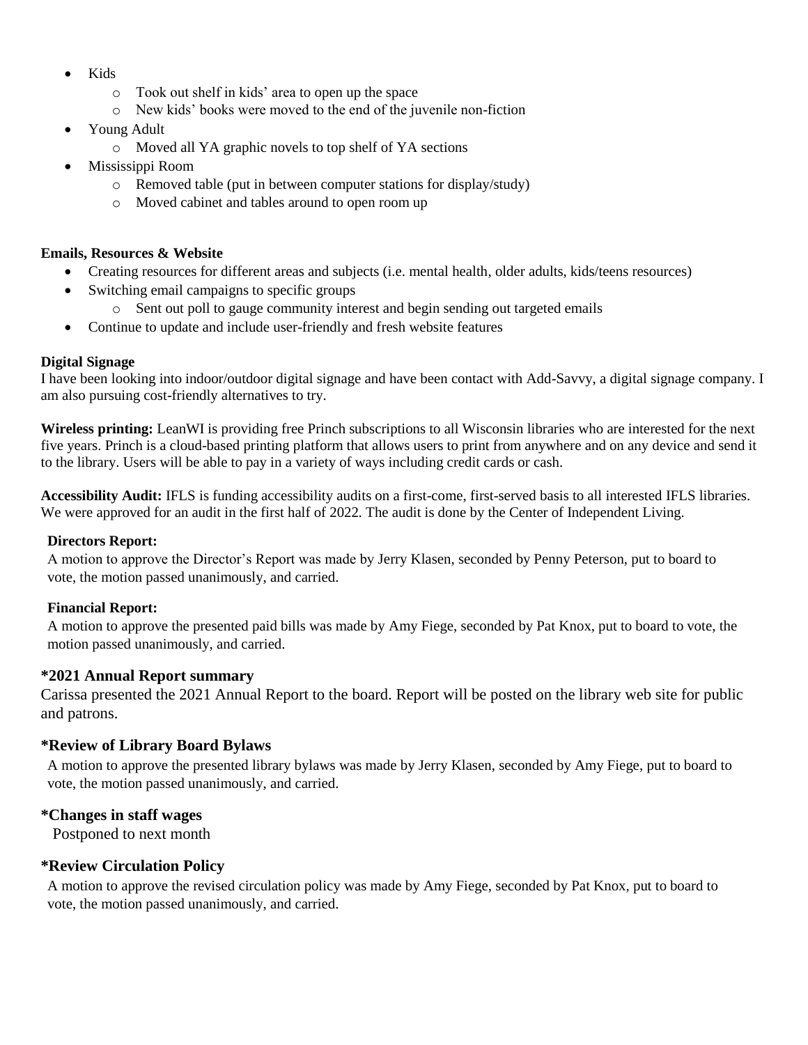- Kids
	- o Took out shelf in kids' area to open up the space
	- o New kids' books were moved to the end of the juvenile non-fiction
- Young Adult
	- o Moved all YA graphic novels to top shelf of YA sections
- Mississippi Room
	- o Removed table (put in between computer stations for display/study)
	- o Moved cabinet and tables around to open room up

#### **Emails, Resources & Website**

- Creating resources for different areas and subjects (i.e. mental health, older adults, kids/teens resources)
- Switching email campaigns to specific groups
	- o Sent out poll to gauge community interest and begin sending out targeted emails
- Continue to update and include user-friendly and fresh website features

# **Digital Signage**

I have been looking into indoor/outdoor digital signage and have been contact with Add-Savvy, a digital signage company. I am also pursuing cost-friendly alternatives to try.

**Wireless printing:** LeanWI is providing free Princh subscriptions to all Wisconsin libraries who are interested for the next five years. Princh is a cloud-based printing platform that allows users to print from anywhere and on any device and send it to the library. Users will be able to pay in a variety of ways including credit cards or cash.

**Accessibility Audit:** IFLS is funding accessibility audits on a first-come, first-served basis to all interested IFLS libraries. We were approved for an audit in the first half of 2022. The audit is done by the Center of Independent Living.

# **Directors Report:**

A motion to approve the Director's Report was made by Jerry Klasen, seconded by Penny Peterson, put to board to vote, the motion passed unanimously, and carried.

# **Financial Report:**

A motion to approve the presented paid bills was made by Amy Fiege, seconded by Pat Knox, put to board to vote, the motion passed unanimously, and carried.

# **\*2021 Annual Report summary**

Carissa presented the 2021 Annual Report to the board. Report will be posted on the library web site for public and patrons.

# **\*Review of Library Board Bylaws**

A motion to approve the presented library bylaws was made by Jerry Klasen, seconded by Amy Fiege, put to board to vote, the motion passed unanimously, and carried.

# **\*Changes in staff wages**

Postponed to next month

# **\*Review Circulation Policy**

A motion to approve the revised circulation policy was made by Amy Fiege, seconded by Pat Knox, put to board to vote, the motion passed unanimously, and carried.